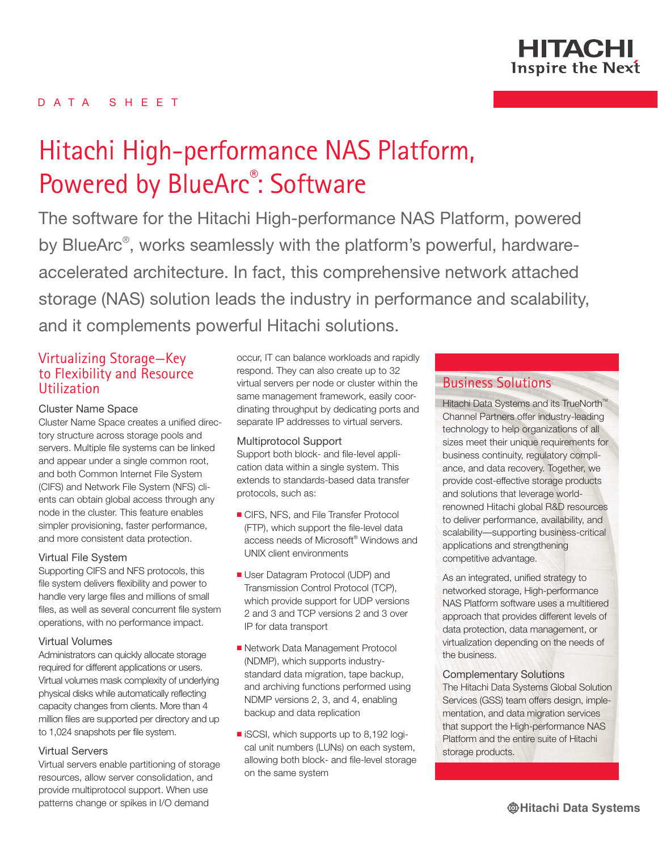

# D A T A S H E E T

# Hitachi High-performance NAS Platform, Powered by BlueArc<sup>®</sup>: Software

The software for the Hitachi High-performance NAS Platform, powered by BlueArc<sup>®</sup>, works seamlessly with the platform's powerful, hardwareaccelerated architecture. In fact, this comprehensive network attached storage (NAS) solution leads the industry in performance and scalability, and it complements powerful Hitachi solutions.

# Virtualizing Storage—Key to Flexibility and Resource Utilization

#### Cluster Name Space

Cluster Name Space creates a unified directory structure across storage pools and servers. Multiple file systems can be linked and appear under a single common root, and both Common Internet File System (CIFS) and Network File System (NFS) clients can obtain global access through any node in the cluster. This feature enables simpler provisioning, faster performance, and more consistent data protection.

#### Virtual File System

Supporting CIFS and NFS protocols, this file system delivers flexibility and power to handle very large files and millions of small files, as well as several concurrent file system operations, with no performance impact.

#### Virtual Volumes

Administrators can quickly allocate storage required for different applications or users. Virtual volumes mask complexity of underlying physical disks while automatically reflecting capacity changes from clients. More than 4 million files are supported per directory and up to 1,024 snapshots per file system.

#### Virtual Servers

Virtual servers enable partitioning of storage resources, allow server consolidation, and provide multiprotocol support. When use patterns change or spikes in I/O demand

occur, IT can balance workloads and rapidly respond. They can also create up to 32 virtual servers per node or cluster within the same management framework, easily coordinating throughput by dedicating ports and separate IP addresses to virtual servers.

#### Multiprotocol Support

Support both block- and file-level application data within a single system. This extends to standards-based data transfer protocols, such as:

- CIFS, NFS, and File Transfer Protocol (FTP), which support the file-level data access needs of Microsoft® Windows and UNIX client environments
- **User Datagram Protocol (UDP) and** Transmission Control Protocol (TCP), which provide support for UDP versions 2 and 3 and TCP versions 2 and 3 over IP for data transport
- Network Data Management Protocol (NDMP), which supports industrystandard data migration, tape backup, and archiving functions performed using NDMP versions 2, 3, and 4, enabling backup and data replication
- $\blacksquare$  iSCSI, which supports up to 8,192 logical unit numbers (LUNs) on each system, allowing both block- and file-level storage on the same system

# Business Solutions

Hitachi Data Systems and its TrueNorth<sup>™</sup> Channel Partners offer industry-leading technology to help organizations of all sizes meet their unique requirements for business continuity, regulatory compliance, and data recovery. Together, we provide cost-effective storage products and solutions that leverage worldrenowned Hitachi global R&D resources to deliver performance, availability, and scalability—supporting business-critical applications and strengthening competitive advantage.

As an integrated, unified strategy to networked storage, High-performance NAS Platform software uses a multitiered approach that provides different levels of data protection, data management, or virtualization depending on the needs of the business.

Complementary Solutions

The Hitachi Data Systems Global Solution Services (GSS) team offers design, implementation, and data migration services that support the High-performance NAS Platform and the entire suite of Hitachi storage products.